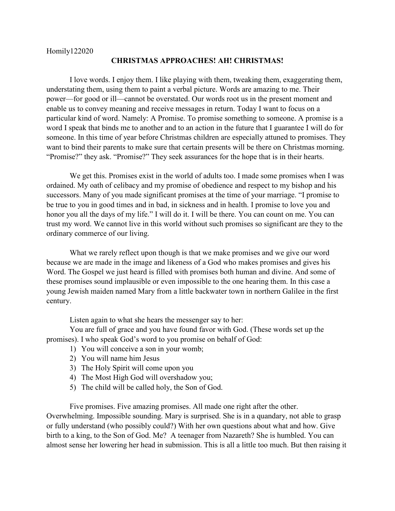## **CHRISTMAS APPROACHES! AH! CHRISTMAS!**

I love words. I enjoy them. I like playing with them, tweaking them, exaggerating them, understating them, using them to paint a verbal picture. Words are amazing to me. Their power—for good or ill—cannot be overstated. Our words root us in the present moment and enable us to convey meaning and receive messages in return. Today I want to focus on a particular kind of word. Namely: A Promise. To promise something to someone. A promise is a word I speak that binds me to another and to an action in the future that I guarantee I will do for someone. In this time of year before Christmas children are especially attuned to promises. They want to bind their parents to make sure that certain presents will be there on Christmas morning. "Promise?" they ask. "Promise?" They seek assurances for the hope that is in their hearts.

We get this. Promises exist in the world of adults too. I made some promises when I was ordained. My oath of celibacy and my promise of obedience and respect to my bishop and his successors. Many of you made significant promises at the time of your marriage. "I promise to be true to you in good times and in bad, in sickness and in health. I promise to love you and honor you all the days of my life." I will do it. I will be there. You can count on me. You can trust my word. We cannot live in this world without such promises so significant are they to the ordinary commerce of our living.

What we rarely reflect upon though is that we make promises and we give our word because we are made in the image and likeness of a God who makes promises and gives his Word. The Gospel we just heard is filled with promises both human and divine. And some of these promises sound implausible or even impossible to the one hearing them. In this case a young Jewish maiden named Mary from a little backwater town in northern Galilee in the first century.

Listen again to what she hears the messenger say to her:

You are full of grace and you have found favor with God. (These words set up the promises). I who speak God's word to you promise on behalf of God:

- 1) You will conceive a son in your womb;
- 2) You will name him Jesus
- 3) The Holy Spirit will come upon you
- 4) The Most High God will overshadow you;
- 5) The child will be called holy, the Son of God.

Five promises. Five amazing promises. All made one right after the other. Overwhelming. Impossible sounding. Mary is surprised. She is in a quandary, not able to grasp or fully understand (who possibly could?) With her own questions about what and how. Give birth to a king, to the Son of God. Me? A teenager from Nazareth? She is humbled. You can almost sense her lowering her head in submission. This is all a little too much. But then raising it